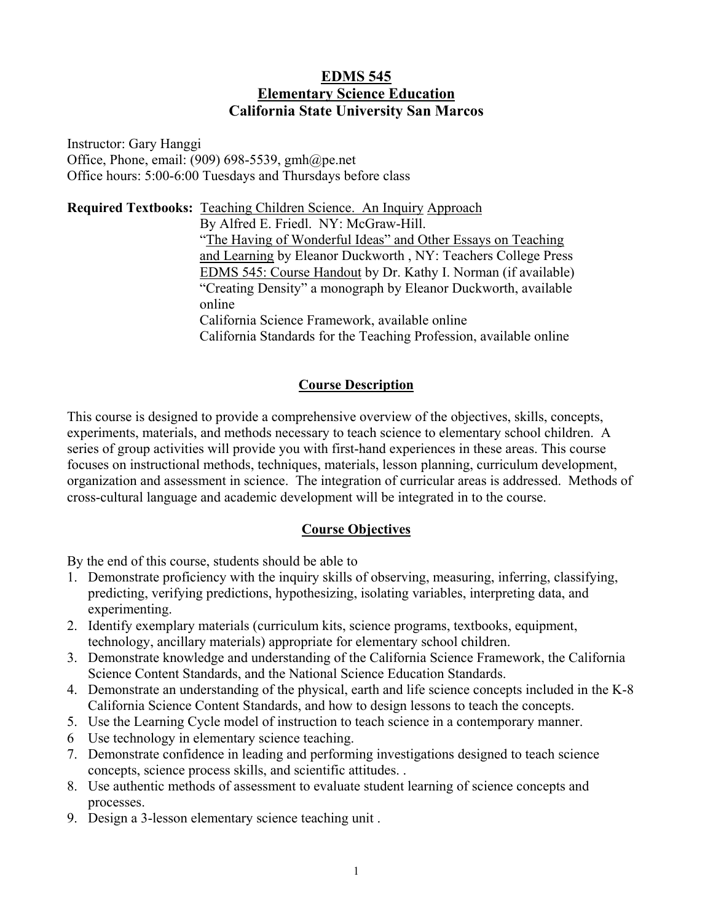### **EDMS 545 Elementary Science Education California State University San Marcos**

Instructor: Gary Hanggi Office, Phone, email:  $(909)$  698-5539, gmh $@p$ e.net Office hours: 5:00-6:00 Tuesdays and Thursdays before class

**Required Textbooks:** Teaching Children Science. An Inquiry Approach By Alfred E. Friedl. NY: McGraw-Hill. "The Having of Wonderful Ideas" and Other Essays on Teaching and Learning by Eleanor Duckworth , NY: Teachers College Press EDMS 545: Course Handout by Dr. Kathy I. Norman (if available) "Creating Density" a monograph by Eleanor Duckworth, available online California Science Framework, available online California Standards for the Teaching Profession, available online

### **Course Description**

This course is designed to provide a comprehensive overview of the objectives, skills, concepts, experiments, materials, and methods necessary to teach science to elementary school children. A series of group activities will provide you with first-hand experiences in these areas. This course focuses on instructional methods, techniques, materials, lesson planning, curriculum development, organization and assessment in science. The integration of curricular areas is addressed. Methods of cross-cultural language and academic development will be integrated in to the course.

# **Course Objectives**

By the end of this course, students should be able to

- 1. Demonstrate proficiency with the inquiry skills of observing, measuring, inferring, classifying, predicting, verifying predictions, hypothesizing, isolating variables, interpreting data, and experimenting.
- 2. Identify exemplary materials (curriculum kits, science programs, textbooks, equipment, technology, ancillary materials) appropriate for elementary school children.
- 3. Demonstrate knowledge and understanding of the California Science Framework, the California Science Content Standards, and the National Science Education Standards.
- 4. Demonstrate an understanding of the physical, earth and life science concepts included in the K-8 California Science Content Standards, and how to design lessons to teach the concepts.
- 5. Use the Learning Cycle model of instruction to teach science in a contemporary manner.
- 6 Use technology in elementary science teaching.
- 7. Demonstrate confidence in leading and performing investigations designed to teach science concepts, science process skills, and scientific attitudes. .
- 8. Use authentic methods of assessment to evaluate student learning of science concepts and processes.
- 9. Design a 3-lesson elementary science teaching unit .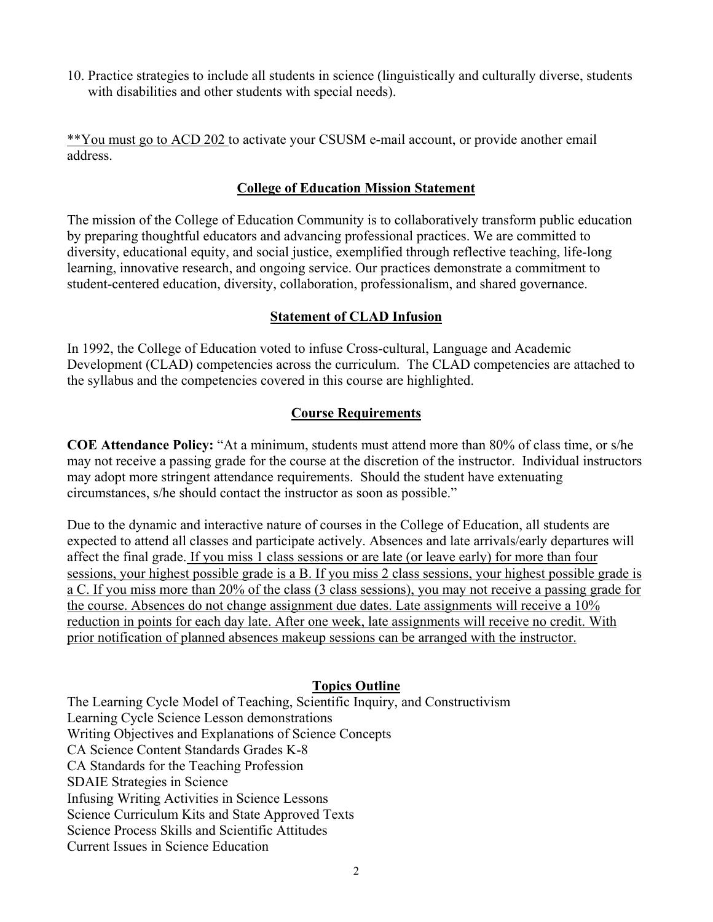10. Practice strategies to include all students in science (linguistically and culturally diverse, students with disabilities and other students with special needs).

\*\*You must go to ACD 202 to activate your CSUSM e-mail account, or provide another email address.

### **College of Education Mission Statement**

The mission of the College of Education Community is to collaboratively transform public education by preparing thoughtful educators and advancing professional practices. We are committed to diversity, educational equity, and social justice, exemplified through reflective teaching, life-long learning, innovative research, and ongoing service. Our practices demonstrate a commitment to student-centered education, diversity, collaboration, professionalism, and shared governance.

### **Statement of CLAD Infusion**

In 1992, the College of Education voted to infuse Cross-cultural, Language and Academic Development (CLAD) competencies across the curriculum. The CLAD competencies are attached to the syllabus and the competencies covered in this course are highlighted.

### **Course Requirements**

**COE Attendance Policy:** "At a minimum, students must attend more than 80% of class time, or s/he may not receive a passing grade for the course at the discretion of the instructor. Individual instructors may adopt more stringent attendance requirements. Should the student have extenuating circumstances, s/he should contact the instructor as soon as possible."

Due to the dynamic and interactive nature of courses in the College of Education, all students are expected to attend all classes and participate actively. Absences and late arrivals/early departures will affect the final grade. If you miss 1 class sessions or are late (or leave early) for more than four sessions, your highest possible grade is a B. If you miss 2 class sessions, your highest possible grade is a C. If you miss more than 20% of the class (3 class sessions), you may not receive a passing grade for the course. Absences do not change assignment due dates. Late assignments will receive a 10% reduction in points for each day late. After one week, late assignments will receive no credit. With prior notification of planned absences makeup sessions can be arranged with the instructor.

### **Topics Outline**

The Learning Cycle Model of Teaching, Scientific Inquiry, and Constructivism Learning Cycle Science Lesson demonstrations Writing Objectives and Explanations of Science Concepts CA Science Content Standards Grades K-8 CA Standards for the Teaching Profession SDAIE Strategies in Science Infusing Writing Activities in Science Lessons Science Curriculum Kits and State Approved Texts Science Process Skills and Scientific Attitudes Current Issues in Science Education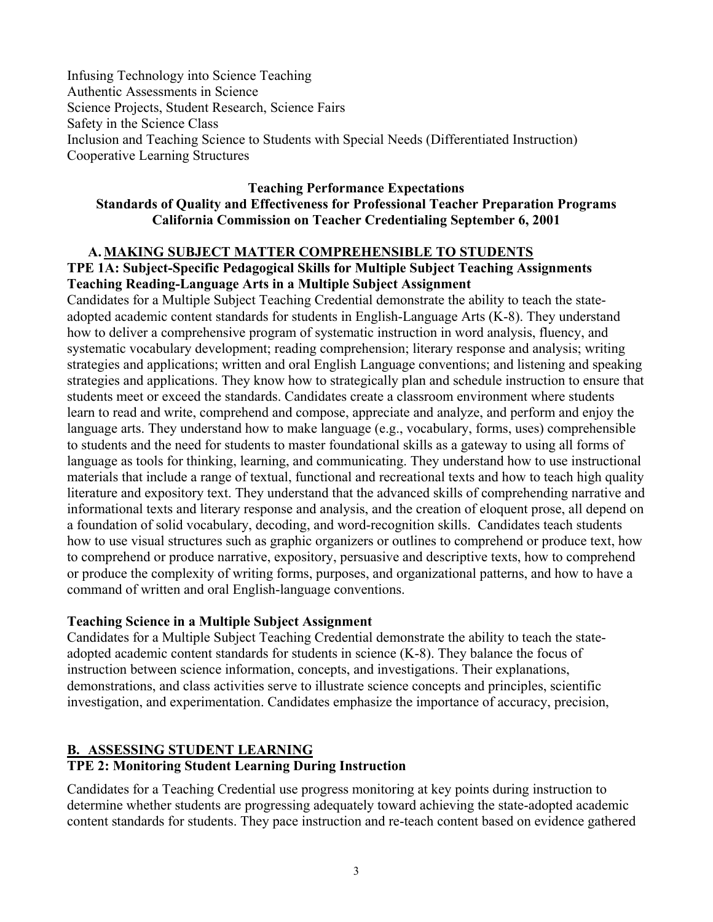Infusing Technology into Science Teaching Authentic Assessments in Science Science Projects, Student Research, Science Fairs Safety in the Science Class Inclusion and Teaching Science to Students with Special Needs (Differentiated Instruction) Cooperative Learning Structures

#### **Teaching Performance Expectations Standards of Quality and Effectiveness for Professional Teacher Preparation Programs California Commission on Teacher Credentialing September 6, 2001**

#### **A.MAKING SUBJECT MATTER COMPREHENSIBLE TO STUDENTS TPE 1A: Subject-Specific Pedagogical Skills for Multiple Subject Teaching Assignments Teaching Reading-Language Arts in a Multiple Subject Assignment**

Candidates for a Multiple Subject Teaching Credential demonstrate the ability to teach the stateadopted academic content standards for students in English-Language Arts (K-8). They understand how to deliver a comprehensive program of systematic instruction in word analysis, fluency, and systematic vocabulary development; reading comprehension; literary response and analysis; writing strategies and applications; written and oral English Language conventions; and listening and speaking strategies and applications. They know how to strategically plan and schedule instruction to ensure that students meet or exceed the standards. Candidates create a classroom environment where students learn to read and write, comprehend and compose, appreciate and analyze, and perform and enjoy the language arts. They understand how to make language (e.g., vocabulary, forms, uses) comprehensible to students and the need for students to master foundational skills as a gateway to using all forms of language as tools for thinking, learning, and communicating. They understand how to use instructional materials that include a range of textual, functional and recreational texts and how to teach high quality literature and expository text. They understand that the advanced skills of comprehending narrative and informational texts and literary response and analysis, and the creation of eloquent prose, all depend on a foundation of solid vocabulary, decoding, and word-recognition skills. Candidates teach students how to use visual structures such as graphic organizers or outlines to comprehend or produce text, how to comprehend or produce narrative, expository, persuasive and descriptive texts, how to comprehend or produce the complexity of writing forms, purposes, and organizational patterns, and how to have a command of written and oral English-language conventions.

### **Teaching Science in a Multiple Subject Assignment**

Candidates for a Multiple Subject Teaching Credential demonstrate the ability to teach the stateadopted academic content standards for students in science (K-8). They balance the focus of instruction between science information, concepts, and investigations. Their explanations, demonstrations, and class activities serve to illustrate science concepts and principles, scientific investigation, and experimentation. Candidates emphasize the importance of accuracy, precision,

# **B. ASSESSING STUDENT LEARNING**

# **TPE 2: Monitoring Student Learning During Instruction**

Candidates for a Teaching Credential use progress monitoring at key points during instruction to determine whether students are progressing adequately toward achieving the state-adopted academic content standards for students. They pace instruction and re-teach content based on evidence gathered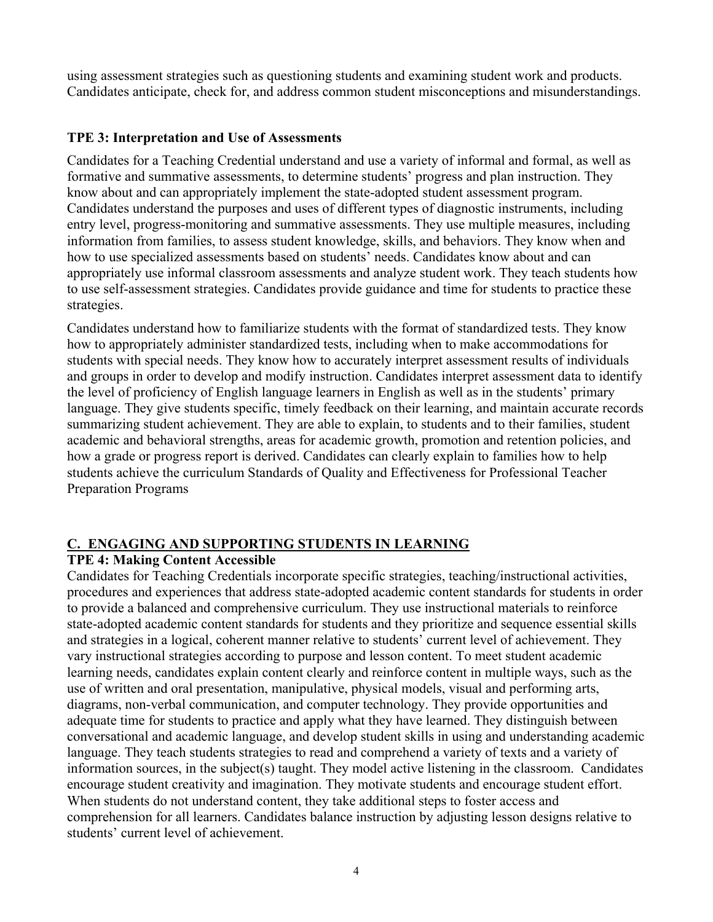using assessment strategies such as questioning students and examining student work and products. Candidates anticipate, check for, and address common student misconceptions and misunderstandings.

### **TPE 3: Interpretation and Use of Assessments**

Candidates for a Teaching Credential understand and use a variety of informal and formal, as well as formative and summative assessments, to determine students' progress and plan instruction. They know about and can appropriately implement the state-adopted student assessment program. Candidates understand the purposes and uses of different types of diagnostic instruments, including entry level, progress-monitoring and summative assessments. They use multiple measures, including information from families, to assess student knowledge, skills, and behaviors. They know when and how to use specialized assessments based on students' needs. Candidates know about and can appropriately use informal classroom assessments and analyze student work. They teach students how to use self-assessment strategies. Candidates provide guidance and time for students to practice these strategies.

Candidates understand how to familiarize students with the format of standardized tests. They know how to appropriately administer standardized tests, including when to make accommodations for students with special needs. They know how to accurately interpret assessment results of individuals and groups in order to develop and modify instruction. Candidates interpret assessment data to identify the level of proficiency of English language learners in English as well as in the students' primary language. They give students specific, timely feedback on their learning, and maintain accurate records summarizing student achievement. They are able to explain, to students and to their families, student academic and behavioral strengths, areas for academic growth, promotion and retention policies, and how a grade or progress report is derived. Candidates can clearly explain to families how to help students achieve the curriculum Standards of Quality and Effectiveness for Professional Teacher Preparation Programs

# **C. ENGAGING AND SUPPORTING STUDENTS IN LEARNING**

### **TPE 4: Making Content Accessible**

Candidates for Teaching Credentials incorporate specific strategies, teaching/instructional activities, procedures and experiences that address state-adopted academic content standards for students in order to provide a balanced and comprehensive curriculum. They use instructional materials to reinforce state-adopted academic content standards for students and they prioritize and sequence essential skills and strategies in a logical, coherent manner relative to students' current level of achievement. They vary instructional strategies according to purpose and lesson content. To meet student academic learning needs, candidates explain content clearly and reinforce content in multiple ways, such as the use of written and oral presentation, manipulative, physical models, visual and performing arts, diagrams, non-verbal communication, and computer technology. They provide opportunities and adequate time for students to practice and apply what they have learned. They distinguish between conversational and academic language, and develop student skills in using and understanding academic language. They teach students strategies to read and comprehend a variety of texts and a variety of information sources, in the subject(s) taught. They model active listening in the classroom. Candidates encourage student creativity and imagination. They motivate students and encourage student effort. When students do not understand content, they take additional steps to foster access and comprehension for all learners. Candidates balance instruction by adjusting lesson designs relative to students' current level of achievement.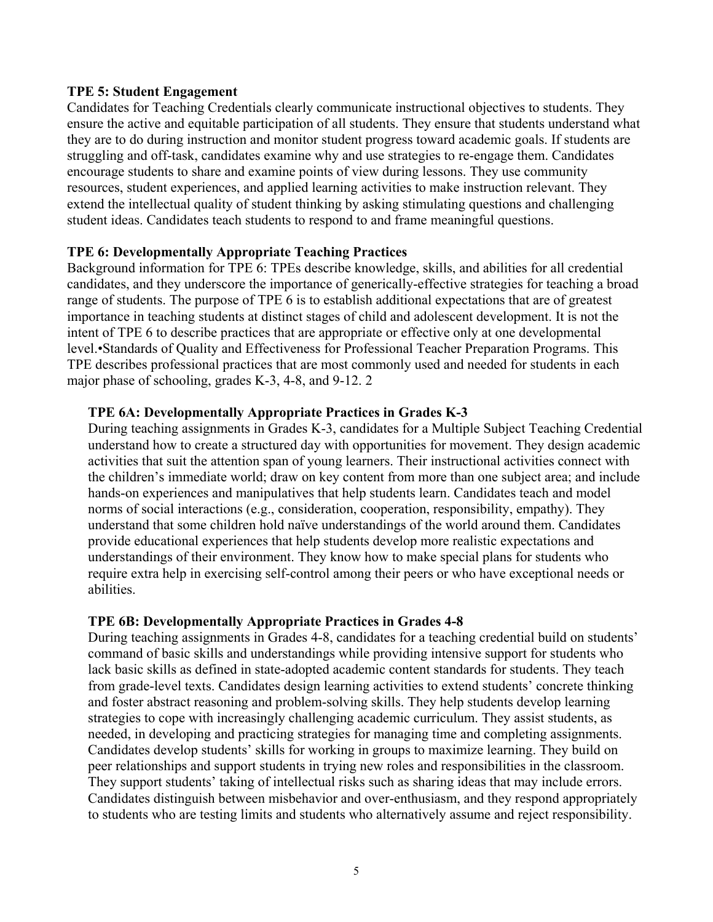#### **TPE 5: Student Engagement**

Candidates for Teaching Credentials clearly communicate instructional objectives to students. They ensure the active and equitable participation of all students. They ensure that students understand what they are to do during instruction and monitor student progress toward academic goals. If students are struggling and off-task, candidates examine why and use strategies to re-engage them. Candidates encourage students to share and examine points of view during lessons. They use community resources, student experiences, and applied learning activities to make instruction relevant. They extend the intellectual quality of student thinking by asking stimulating questions and challenging student ideas. Candidates teach students to respond to and frame meaningful questions.

#### **TPE 6: Developmentally Appropriate Teaching Practices**

Background information for TPE 6: TPEs describe knowledge, skills, and abilities for all credential candidates, and they underscore the importance of generically-effective strategies for teaching a broad range of students. The purpose of TPE 6 is to establish additional expectations that are of greatest importance in teaching students at distinct stages of child and adolescent development. It is not the intent of TPE 6 to describe practices that are appropriate or effective only at one developmental level.•Standards of Quality and Effectiveness for Professional Teacher Preparation Programs. This TPE describes professional practices that are most commonly used and needed for students in each major phase of schooling, grades K-3, 4-8, and 9-12. 2

#### **TPE 6A: Developmentally Appropriate Practices in Grades K-3**

During teaching assignments in Grades K-3, candidates for a Multiple Subject Teaching Credential understand how to create a structured day with opportunities for movement. They design academic activities that suit the attention span of young learners. Their instructional activities connect with the children's immediate world; draw on key content from more than one subject area; and include hands-on experiences and manipulatives that help students learn. Candidates teach and model norms of social interactions (e.g., consideration, cooperation, responsibility, empathy). They understand that some children hold naïve understandings of the world around them. Candidates provide educational experiences that help students develop more realistic expectations and understandings of their environment. They know how to make special plans for students who require extra help in exercising self-control among their peers or who have exceptional needs or abilities.

#### **TPE 6B: Developmentally Appropriate Practices in Grades 4-8**

During teaching assignments in Grades 4-8, candidates for a teaching credential build on students' command of basic skills and understandings while providing intensive support for students who lack basic skills as defined in state-adopted academic content standards for students. They teach from grade-level texts. Candidates design learning activities to extend students' concrete thinking and foster abstract reasoning and problem-solving skills. They help students develop learning strategies to cope with increasingly challenging academic curriculum. They assist students, as needed, in developing and practicing strategies for managing time and completing assignments. Candidates develop students' skills for working in groups to maximize learning. They build on peer relationships and support students in trying new roles and responsibilities in the classroom. They support students' taking of intellectual risks such as sharing ideas that may include errors. Candidates distinguish between misbehavior and over-enthusiasm, and they respond appropriately to students who are testing limits and students who alternatively assume and reject responsibility.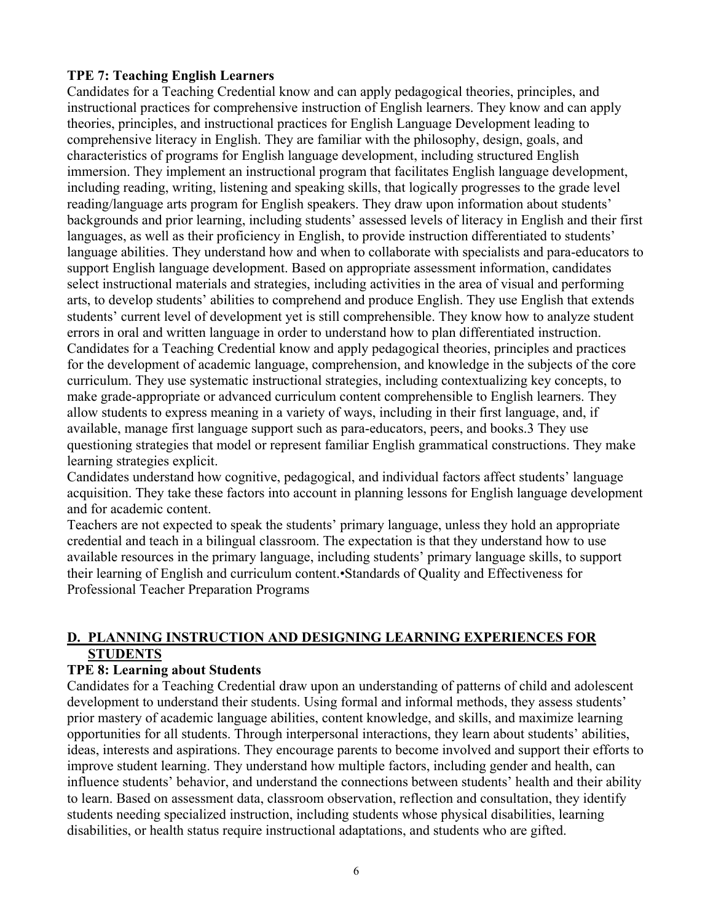#### **TPE 7: Teaching English Learners**

Candidates for a Teaching Credential know and can apply pedagogical theories, principles, and instructional practices for comprehensive instruction of English learners. They know and can apply theories, principles, and instructional practices for English Language Development leading to comprehensive literacy in English. They are familiar with the philosophy, design, goals, and characteristics of programs for English language development, including structured English immersion. They implement an instructional program that facilitates English language development, including reading, writing, listening and speaking skills, that logically progresses to the grade level reading/language arts program for English speakers. They draw upon information about students' backgrounds and prior learning, including students' assessed levels of literacy in English and their first languages, as well as their proficiency in English, to provide instruction differentiated to students' language abilities. They understand how and when to collaborate with specialists and para-educators to support English language development. Based on appropriate assessment information, candidates select instructional materials and strategies, including activities in the area of visual and performing arts, to develop students' abilities to comprehend and produce English. They use English that extends students' current level of development yet is still comprehensible. They know how to analyze student errors in oral and written language in order to understand how to plan differentiated instruction. Candidates for a Teaching Credential know and apply pedagogical theories, principles and practices for the development of academic language, comprehension, and knowledge in the subjects of the core curriculum. They use systematic instructional strategies, including contextualizing key concepts, to make grade-appropriate or advanced curriculum content comprehensible to English learners. They allow students to express meaning in a variety of ways, including in their first language, and, if available, manage first language support such as para-educators, peers, and books.3 They use questioning strategies that model or represent familiar English grammatical constructions. They make learning strategies explicit.

Candidates understand how cognitive, pedagogical, and individual factors affect students' language acquisition. They take these factors into account in planning lessons for English language development and for academic content.

Teachers are not expected to speak the students' primary language, unless they hold an appropriate credential and teach in a bilingual classroom. The expectation is that they understand how to use available resources in the primary language, including students' primary language skills, to support their learning of English and curriculum content.•Standards of Quality and Effectiveness for Professional Teacher Preparation Programs

### **D. PLANNING INSTRUCTION AND DESIGNING LEARNING EXPERIENCES FOR STUDENTS**

### **TPE 8: Learning about Students**

Candidates for a Teaching Credential draw upon an understanding of patterns of child and adolescent development to understand their students. Using formal and informal methods, they assess students' prior mastery of academic language abilities, content knowledge, and skills, and maximize learning opportunities for all students. Through interpersonal interactions, they learn about students' abilities, ideas, interests and aspirations. They encourage parents to become involved and support their efforts to improve student learning. They understand how multiple factors, including gender and health, can influence students' behavior, and understand the connections between students' health and their ability to learn. Based on assessment data, classroom observation, reflection and consultation, they identify students needing specialized instruction, including students whose physical disabilities, learning disabilities, or health status require instructional adaptations, and students who are gifted.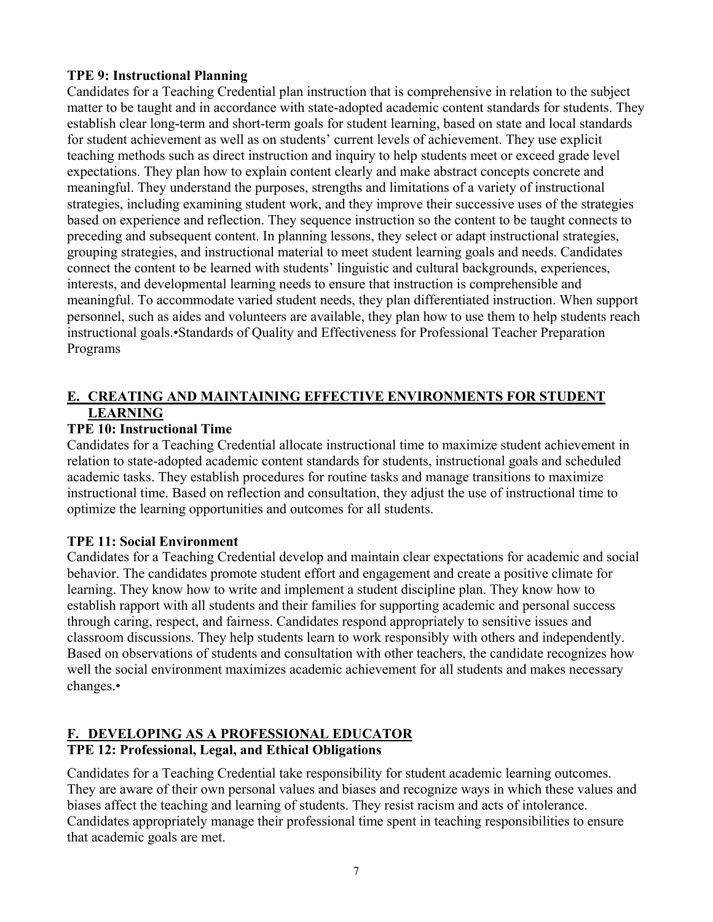### **TPE 9: Instructional Planning**

Candidates for a Teaching Credential plan instruction that is comprehensive in relation to the subject matter to be taught and in accordance with state-adopted academic content standards for students. They establish clear long-term and short-term goals for student learning, based on state and local standards for student achievement as well as on students' current levels of achievement. They use explicit teaching methods such as direct instruction and inquiry to help students meet or exceed grade level expectations. They plan how to explain content clearly and make abstract concepts concrete and meaningful. They understand the purposes, strengths and limitations of a variety of instructional strategies, including examining student work, and they improve their successive uses of the strategies based on experience and reflection. They sequence instruction so the content to be taught connects to preceding and subsequent content. In planning lessons, they select or adapt instructional strategies, grouping strategies, and instructional material to meet student learning goals and needs. Candidates connect the content to be learned with students' linguistic and cultural backgrounds, experiences, interests, and developmental learning needs to ensure that instruction is comprehensible and meaningful. To accommodate varied student needs, they plan differentiated instruction. When support personnel, such as aides and volunteers are available, they plan how to use them to help students reach instructional goals.•Standards of Quality and Effectiveness for Professional Teacher Preparation Programs

# **E. CREATING AND MAINTAINING EFFECTIVE ENVIRONMENTS FOR STUDENT LEARNING**

# **TPE 10: Instructional Time**

Candidates for a Teaching Credential allocate instructional time to maximize student achievement in relation to state-adopted academic content standards for students, instructional goals and scheduled academic tasks. They establish procedures for routine tasks and manage transitions to maximize instructional time. Based on reflection and consultation, they adjust the use of instructional time to optimize the learning opportunities and outcomes for all students.

# **TPE 11: Social Environment**

Candidates for a Teaching Credential develop and maintain clear expectations for academic and social behavior. The candidates promote student effort and engagement and create a positive climate for learning. They know how to write and implement a student discipline plan. They know how to establish rapport with all students and their families for supporting academic and personal success through caring, respect, and fairness. Candidates respond appropriately to sensitive issues and classroom discussions. They help students learn to work responsibly with others and independently. Based on observations of students and consultation with other teachers, the candidate recognizes how well the social environment maximizes academic achievement for all students and makes necessary changes.•

### **F. DEVELOPING AS A PROFESSIONAL EDUCATOR TPE 12: Professional, Legal, and Ethical Obligations**

Candidates for a Teaching Credential take responsibility for student academic learning outcomes. They are aware of their own personal values and biases and recognize ways in which these values and biases affect the teaching and learning of students. They resist racism and acts of intolerance. Candidates appropriately manage their professional time spent in teaching responsibilities to ensure that academic goals are met.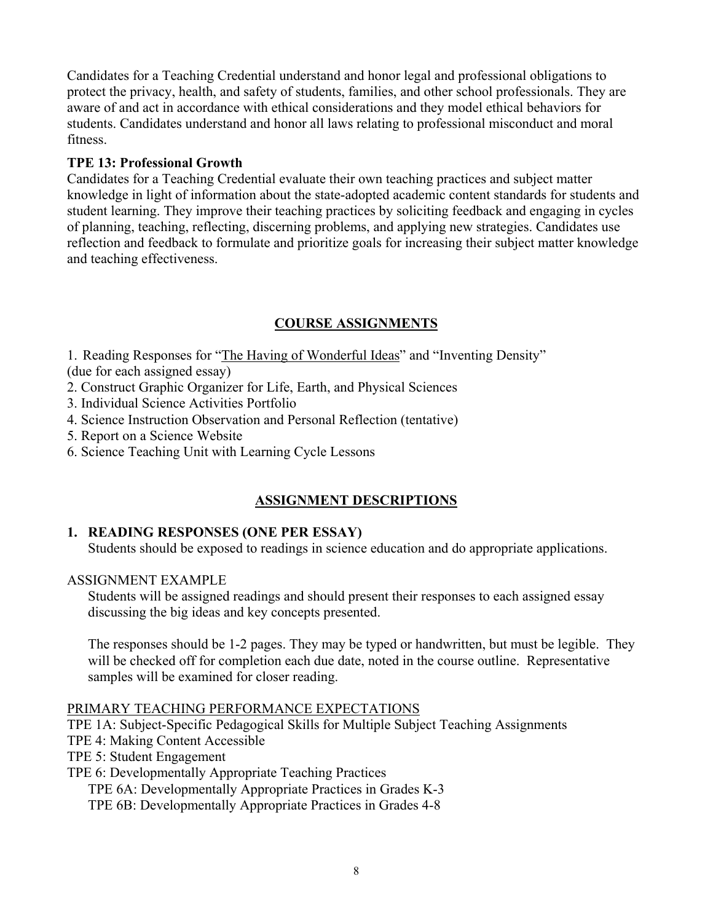Candidates for a Teaching Credential understand and honor legal and professional obligations to protect the privacy, health, and safety of students, families, and other school professionals. They are aware of and act in accordance with ethical considerations and they model ethical behaviors for students. Candidates understand and honor all laws relating to professional misconduct and moral fitness.

### **TPE 13: Professional Growth**

Candidates for a Teaching Credential evaluate their own teaching practices and subject matter knowledge in light of information about the state-adopted academic content standards for students and student learning. They improve their teaching practices by soliciting feedback and engaging in cycles of planning, teaching, reflecting, discerning problems, and applying new strategies. Candidates use reflection and feedback to formulate and prioritize goals for increasing their subject matter knowledge and teaching effectiveness.

# **COURSE ASSIGNMENTS**

1. Reading Responses for "The Having of Wonderful Ideas" and "Inventing Density" (due for each assigned essay)

- 2. Construct Graphic Organizer for Life, Earth, and Physical Sciences
- 3. Individual Science Activities Portfolio
- 4. Science Instruction Observation and Personal Reflection (tentative)
- 5. Report on a Science Website
- 6. Science Teaching Unit with Learning Cycle Lessons

# **ASSIGNMENT DESCRIPTIONS**

# **1. READING RESPONSES (ONE PER ESSAY)**

Students should be exposed to readings in science education and do appropriate applications.

### ASSIGNMENT EXAMPLE

Students will be assigned readings and should present their responses to each assigned essay discussing the big ideas and key concepts presented.

The responses should be 1-2 pages. They may be typed or handwritten, but must be legible. They will be checked off for completion each due date, noted in the course outline. Representative samples will be examined for closer reading.

### PRIMARY TEACHING PERFORMANCE EXPECTATIONS

TPE 1A: Subject-Specific Pedagogical Skills for Multiple Subject Teaching Assignments

- TPE 4: Making Content Accessible
- TPE 5: Student Engagement

# TPE 6: Developmentally Appropriate Teaching Practices

TPE 6A: Developmentally Appropriate Practices in Grades K-3

TPE 6B: Developmentally Appropriate Practices in Grades 4-8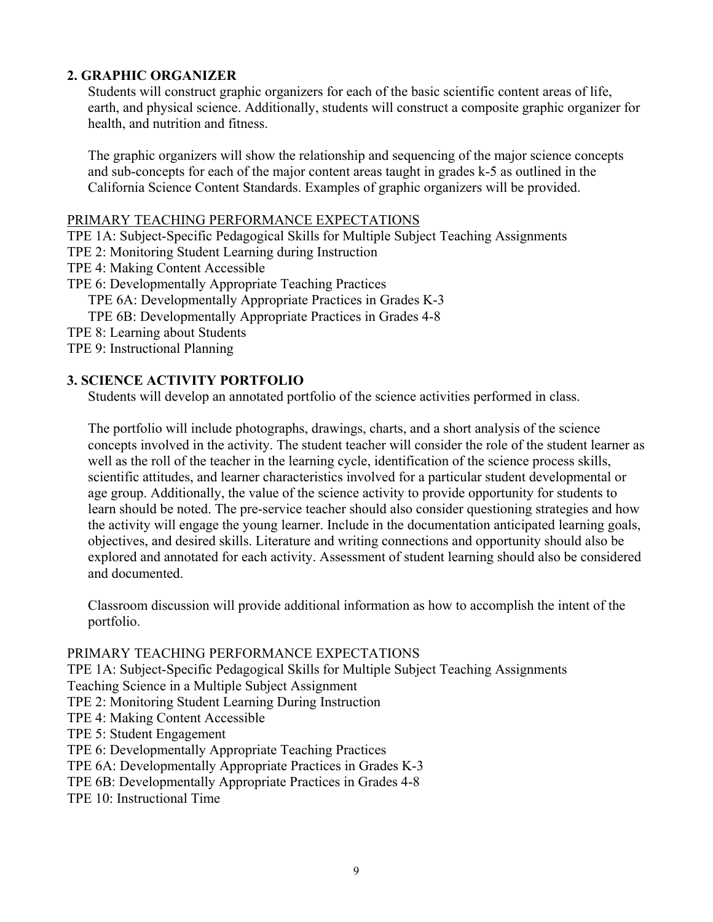### **2. GRAPHIC ORGANIZER**

Students will construct graphic organizers for each of the basic scientific content areas of life, earth, and physical science. Additionally, students will construct a composite graphic organizer for health, and nutrition and fitness.

The graphic organizers will show the relationship and sequencing of the major science concepts and sub-concepts for each of the major content areas taught in grades k-5 as outlined in the California Science Content Standards. Examples of graphic organizers will be provided.

#### PRIMARY TEACHING PERFORMANCE EXPECTATIONS

TPE 1A: Subject-Specific Pedagogical Skills for Multiple Subject Teaching Assignments

- TPE 2: Monitoring Student Learning during Instruction
- TPE 4: Making Content Accessible
- TPE 6: Developmentally Appropriate Teaching Practices
	- TPE 6A: Developmentally Appropriate Practices in Grades K-3
	- TPE 6B: Developmentally Appropriate Practices in Grades 4-8
- TPE 8: Learning about Students
- TPE 9: Instructional Planning

#### **3. SCIENCE ACTIVITY PORTFOLIO**

Students will develop an annotated portfolio of the science activities performed in class.

The portfolio will include photographs, drawings, charts, and a short analysis of the science concepts involved in the activity. The student teacher will consider the role of the student learner as well as the roll of the teacher in the learning cycle, identification of the science process skills, scientific attitudes, and learner characteristics involved for a particular student developmental or age group. Additionally, the value of the science activity to provide opportunity for students to learn should be noted. The pre-service teacher should also consider questioning strategies and how the activity will engage the young learner. Include in the documentation anticipated learning goals, objectives, and desired skills. Literature and writing connections and opportunity should also be explored and annotated for each activity. Assessment of student learning should also be considered and documented.

Classroom discussion will provide additional information as how to accomplish the intent of the portfolio.

#### PRIMARY TEACHING PERFORMANCE EXPECTATIONS

TPE 1A: Subject-Specific Pedagogical Skills for Multiple Subject Teaching Assignments

Teaching Science in a Multiple Subject Assignment

- TPE 2: Monitoring Student Learning During Instruction
- TPE 4: Making Content Accessible
- TPE 5: Student Engagement
- TPE 6: Developmentally Appropriate Teaching Practices

TPE 6A: Developmentally Appropriate Practices in Grades K-3

- TPE 6B: Developmentally Appropriate Practices in Grades 4-8
- TPE 10: Instructional Time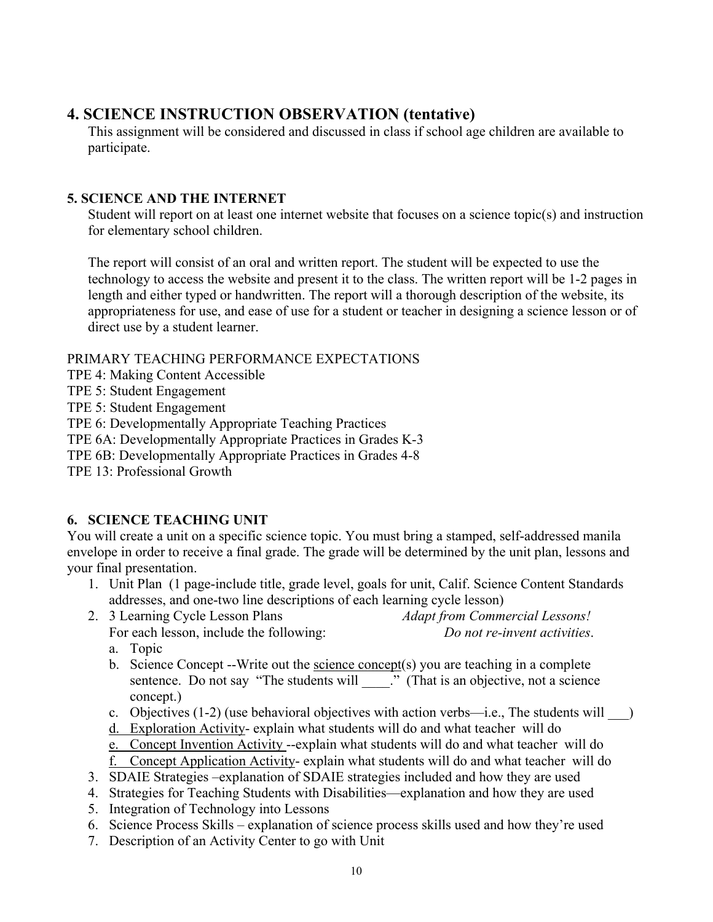# **4. SCIENCE INSTRUCTION OBSERVATION (tentative)**

This assignment will be considered and discussed in class if school age children are available to participate.

## **5. SCIENCE AND THE INTERNET**

Student will report on at least one internet website that focuses on a science topic(s) and instruction for elementary school children.

The report will consist of an oral and written report. The student will be expected to use the technology to access the website and present it to the class. The written report will be 1-2 pages in length and either typed or handwritten. The report will a thorough description of the website, its appropriateness for use, and ease of use for a student or teacher in designing a science lesson or of direct use by a student learner.

### PRIMARY TEACHING PERFORMANCE EXPECTATIONS

- TPE 4: Making Content Accessible
- TPE 5: Student Engagement
- TPE 5: Student Engagement

TPE 6: Developmentally Appropriate Teaching Practices

- TPE 6A: Developmentally Appropriate Practices in Grades K-3
- TPE 6B: Developmentally Appropriate Practices in Grades 4-8
- TPE 13: Professional Growth

# **6. SCIENCE TEACHING UNIT**

You will create a unit on a specific science topic. You must bring a stamped, self-addressed manila envelope in order to receive a final grade. The grade will be determined by the unit plan, lessons and your final presentation.

- 1. Unit Plan (1 page-include title, grade level, goals for unit, Calif. Science Content Standards addresses, and one-two line descriptions of each learning cycle lesson)
- 2. 3 Learning Cycle Lesson Plans *Adapt from Commercial Lessons!* For each lesson, include the following: *Do not re-invent activities*.

a. Topic

- b. Science Concept --Write out the science concept(s) you are teaching in a complete sentence. Do not say "The students will \_\_\_\_." (That is an objective, not a science concept.)
- c. Objectives  $(1-2)$  (use behavioral objectives with action verbs—i.e., The students will  $\qquad$ )
- d. Exploration Activity- explain what students will do and what teacher will do
- e. Concept Invention Activity --explain what students will do and what teacher will do
- f. Concept Application Activity- explain what students will do and what teacher will do
- 3. SDAIE Strategies –explanation of SDAIE strategies included and how they are used
- 4. Strategies for Teaching Students with Disabilities—explanation and how they are used
- 5. Integration of Technology into Lessons
- 6. Science Process Skills explanation of science process skills used and how they're used
- 7. Description of an Activity Center to go with Unit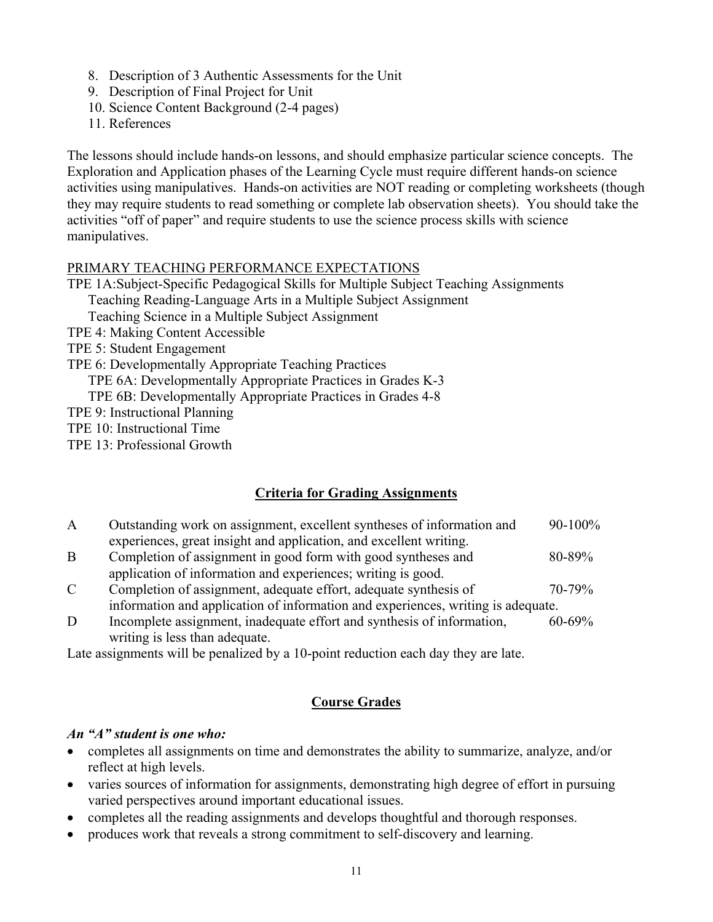- 8. Description of 3 Authentic Assessments for the Unit
- 9. Description of Final Project for Unit
- 10. Science Content Background (2-4 pages)
- 11. References

The lessons should include hands-on lessons, and should emphasize particular science concepts. The Exploration and Application phases of the Learning Cycle must require different hands-on science activities using manipulatives. Hands-on activities are NOT reading or completing worksheets (though they may require students to read something or complete lab observation sheets). You should take the activities "off of paper" and require students to use the science process skills with science manipulatives.

#### PRIMARY TEACHING PERFORMANCE EXPECTATIONS

TPE 1A:Subject-Specific Pedagogical Skills for Multiple Subject Teaching Assignments Teaching Reading-Language Arts in a Multiple Subject Assignment

Teaching Science in a Multiple Subject Assignment

- TPE 4: Making Content Accessible
- TPE 5: Student Engagement
- TPE 6: Developmentally Appropriate Teaching Practices

TPE 6A: Developmentally Appropriate Practices in Grades K-3

TPE 6B: Developmentally Appropriate Practices in Grades 4-8

- TPE 9: Instructional Planning
- TPE 10: Instructional Time
- TPE 13: Professional Growth

# **Criteria for Grading Assignments**

- A Outstanding work on assignment, excellent syntheses of information and 90-100% experiences, great insight and application, and excellent writing.
- B Completion of assignment in good form with good syntheses and 80-89% application of information and experiences; writing is good.
- C Completion of assignment, adequate effort, adequate synthesis of 70-79% information and application of information and experiences, writing is adequate.
- D Incomplete assignment, inadequate effort and synthesis of information, 60-69% writing is less than adequate.

Late assignments will be penalized by a 10-point reduction each day they are late.

### **Course Grades**

### *An "A" student is one who:*

- completes all assignments on time and demonstrates the ability to summarize, analyze, and/or reflect at high levels.
- varies sources of information for assignments, demonstrating high degree of effort in pursuing varied perspectives around important educational issues.
- completes all the reading assignments and develops thoughtful and thorough responses.
- produces work that reveals a strong commitment to self-discovery and learning.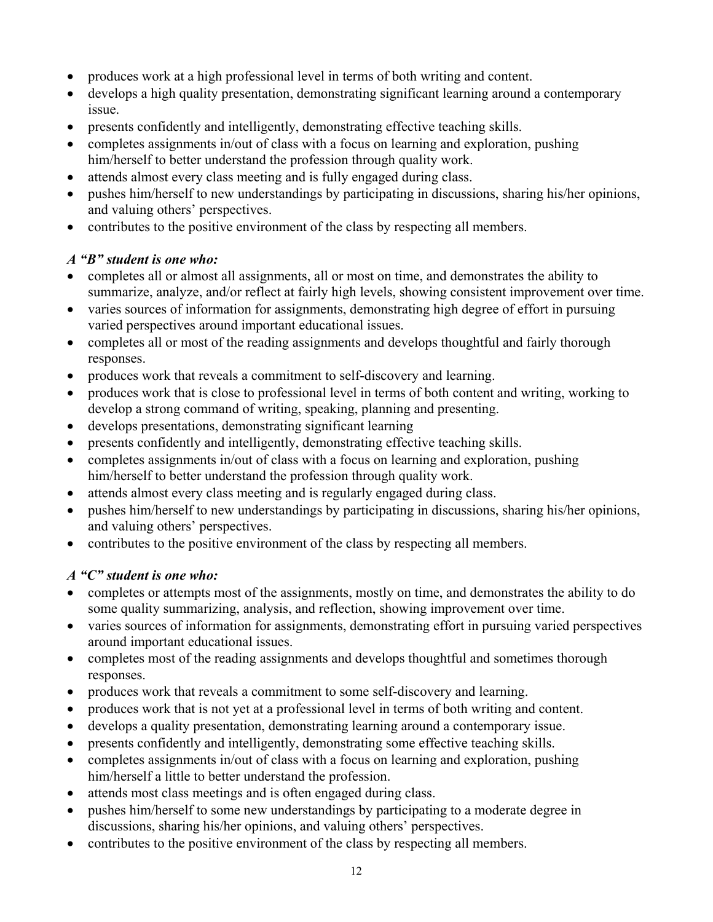- produces work at a high professional level in terms of both writing and content.
- develops a high quality presentation, demonstrating significant learning around a contemporary issue.
- presents confidently and intelligently, demonstrating effective teaching skills.
- completes assignments in/out of class with a focus on learning and exploration, pushing him/herself to better understand the profession through quality work.
- attends almost every class meeting and is fully engaged during class.
- pushes him/herself to new understandings by participating in discussions, sharing his/her opinions, and valuing others' perspectives.
- contributes to the positive environment of the class by respecting all members.

# *A "B" student is one who:*

- completes all or almost all assignments, all or most on time, and demonstrates the ability to summarize, analyze, and/or reflect at fairly high levels, showing consistent improvement over time.
- varies sources of information for assignments, demonstrating high degree of effort in pursuing varied perspectives around important educational issues.
- completes all or most of the reading assignments and develops thoughtful and fairly thorough responses.
- produces work that reveals a commitment to self-discovery and learning.
- produces work that is close to professional level in terms of both content and writing, working to develop a strong command of writing, speaking, planning and presenting.
- develops presentations, demonstrating significant learning
- presents confidently and intelligently, demonstrating effective teaching skills.
- completes assignments in/out of class with a focus on learning and exploration, pushing him/herself to better understand the profession through quality work.
- attends almost every class meeting and is regularly engaged during class.
- pushes him/herself to new understandings by participating in discussions, sharing his/her opinions, and valuing others' perspectives.
- contributes to the positive environment of the class by respecting all members.

# *A "C" student is one who:*

- completes or attempts most of the assignments, mostly on time, and demonstrates the ability to do some quality summarizing, analysis, and reflection, showing improvement over time.
- varies sources of information for assignments, demonstrating effort in pursuing varied perspectives around important educational issues.
- completes most of the reading assignments and develops thoughtful and sometimes thorough responses.
- produces work that reveals a commitment to some self-discovery and learning.
- produces work that is not yet at a professional level in terms of both writing and content.
- develops a quality presentation, demonstrating learning around a contemporary issue.
- presents confidently and intelligently, demonstrating some effective teaching skills.
- completes assignments in/out of class with a focus on learning and exploration, pushing him/herself a little to better understand the profession.
- attends most class meetings and is often engaged during class.
- pushes him/herself to some new understandings by participating to a moderate degree in discussions, sharing his/her opinions, and valuing others' perspectives.
- contributes to the positive environment of the class by respecting all members.